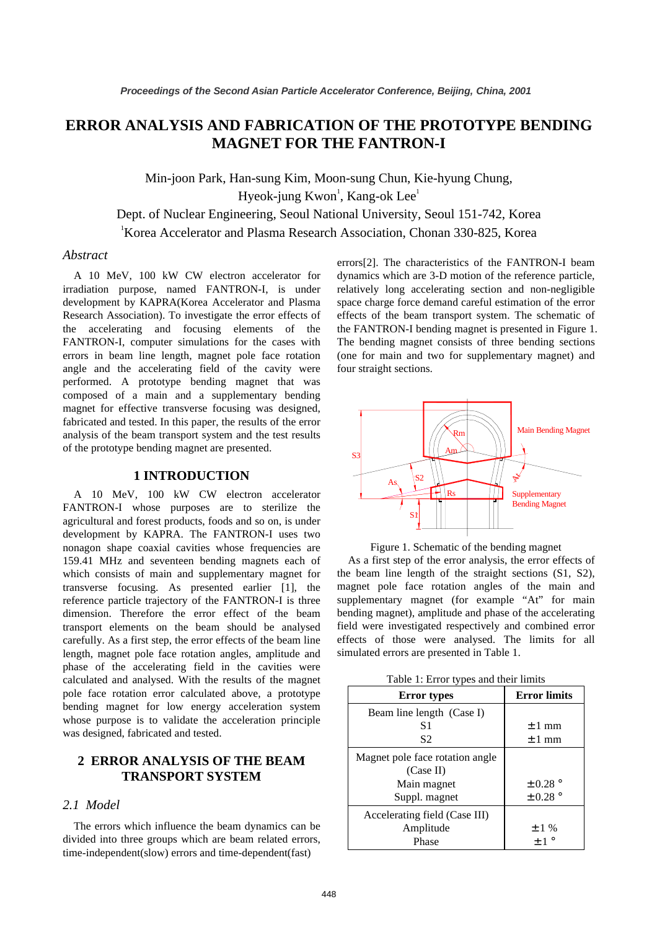# **ERROR ANALYSIS AND FABRICATION OF THE PROTOTYPE BENDING MAGNET FOR THE FANTRON-I**

Min-joon Park, Han-sung Kim, Moon-sung Chun, Kie-hyung Chung, Hyeok-jung  $Kwon<sup>1</sup>$ , Kang-ok Lee<sup>1</sup>

Dept. of Nuclear Engineering, Seoul National University, Seoul 151-742, Korea 1

<sup>1</sup>Korea Accelerator and Plasma Research Association, Chonan 330-825, Korea

### *Abstract*

A 10 MeV, 100 kW CW electron accelerator for irradiation purpose, named FANTRON-I, is under development by KAPRA(Korea Accelerator and Plasma Research Association). To investigate the error effects of the accelerating and focusing elements of the FANTRON-I, computer simulations for the cases with errors in beam line length, magnet pole face rotation angle and the accelerating field of the cavity were performed. A prototype bending magnet that was composed of a main and a supplementary bending magnet for effective transverse focusing was designed, fabricated and tested. In this paper, the results of the error analysis of the beam transport system and the test results of the prototype bending magnet are presented.

### **1 INTRODUCTION**

A 10 MeV, 100 kW CW electron accelerator FANTRON-I whose purposes are to sterilize the agricultural and forest products, foods and so on, is under development by KAPRA. The FANTRON-I uses two nonagon shape coaxial cavities whose frequencies are 159.41 MHz and seventeen bending magnets each of which consists of main and supplementary magnet for transverse focusing. As presented earlier [1], the reference particle trajectory of the FANTRON-I is three dimension. Therefore the error effect of the beam transport elements on the beam should be analysed carefully. As a first step, the error effects of the beam line length, magnet pole face rotation angles, amplitude and phase of the accelerating field in the cavities were calculated and analysed. With the results of the magnet pole face rotation error calculated above, a prototype bending magnet for low energy acceleration system whose purpose is to validate the acceleration principle was designed, fabricated and tested.

# **2 ERROR ANALYSIS OF THE BEAM TRANSPORT SYSTEM**

### *2.1 Model*

The errors which influence the beam dynamics can be divided into three groups which are beam related errors, time-independent(slow) errors and time-dependent(fast)

errors[2]. The characteristics of the FANTRON-I beam dynamics which are 3-D motion of the reference particle, relatively long accelerating section and non-negligible space charge force demand careful estimation of the error effects of the beam transport system. The schematic of the FANTRON-I bending magnet is presented in Figure 1. The bending magnet consists of three bending sections (one for main and two for supplementary magnet) and four straight sections.



Figure 1. Schematic of the bending magnet As a first step of the error analysis, the error effects of the beam line length of the straight sections (S1, S2), magnet pole face rotation angles of the main and supplementary magnet (for example "At" for main bending magnet), amplitude and phase of the accelerating field were investigated respectively and combined error effects of those were analysed. The limits for all simulated errors are presented in Table 1.

| Table 1: Error types and their limits |  |  |  |  |  |
|---------------------------------------|--|--|--|--|--|
|---------------------------------------|--|--|--|--|--|

| <b>Error types</b>              | <b>Error limits</b>   |  |
|---------------------------------|-----------------------|--|
| Beam line length (Case I)       |                       |  |
| S1                              | $\pm 1$ mm            |  |
| S <sub>2</sub>                  | $\pm 1$ mm            |  |
| Magnet pole face rotation angle |                       |  |
| (Case II)                       |                       |  |
| Main magnet                     | $\pm$ 0.28 $^{\circ}$ |  |
| Suppl. magnet                   | $\pm$ 0.28 $^{\circ}$ |  |
| Accelerating field (Case III)   |                       |  |
| Amplitude                       | $\pm$ 1 %             |  |
| Phase                           | $+1$ °                |  |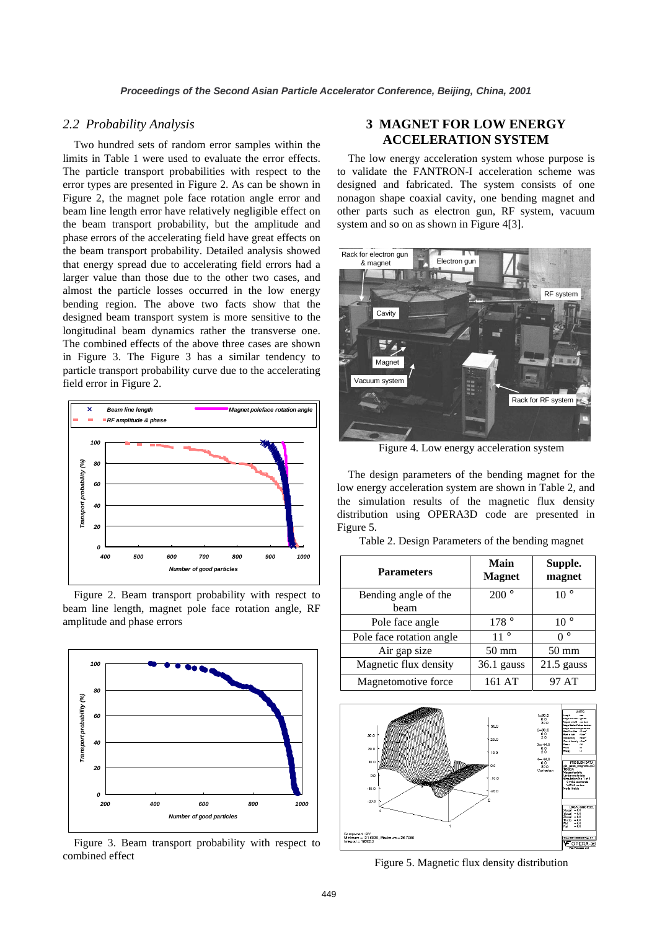#### *2.2 Probability Analysis*

Two hundred sets of random error samples within the limits in Table 1 were used to evaluate the error effects. The particle transport probabilities with respect to the error types are presented in Figure 2. As can be shown in Figure 2, the magnet pole face rotation angle error and beam line length error have relatively negligible effect on the beam transport probability, but the amplitude and phase errors of the accelerating field have great effects on the beam transport probability. Detailed analysis showed that energy spread due to accelerating field errors had a larger value than those due to the other two cases, and almost the particle losses occurred in the low energy bending region. The above two facts show that the designed beam transport system is more sensitive to the longitudinal beam dynamics rather the transverse one. The combined effects of the above three cases are shown in Figure 3. The Figure 3 has a similar tendency to particle transport probability curve due to the accelerating field error in Figure 2.



Figure 2. Beam transport probability with respect to beam line length, magnet pole face rotation angle, RF amplitude and phase errors



Figure 3. Beam transport probability with respect to combined effect

## **3 MAGNET FOR LOW ENERGY ACCELERATION SYSTEM**

The low energy acceleration system whose purpose is to validate the FANTRON-I acceleration scheme was designed and fabricated. The system consists of one nonagon shape coaxial cavity, one bending magnet and other parts such as electron gun, RF system, vacuum system and so on as shown in Figure 4[3].



Figure 4. Low energy acceleration system

The design parameters of the bending magnet for the low energy acceleration system are shown in Table 2, and the simulation results of the magnetic flux density distribution using OPERA3D code are presented in Figure 5.

Table 2. Design Parameters of the bending magnet

| <b>Parameters</b>            | Main<br><b>Magnet</b> | Supple.<br>magnet |
|------------------------------|-----------------------|-------------------|
| Bending angle of the<br>beam | $200^{\circ}$         | $10^{\circ}$      |
| Pole face angle              | 178°                  | $10^{\circ}$      |
| Pole face rotation angle     | $11^{\circ}$          | 0 °               |
| Air gap size                 | 50 mm                 | $50 \text{ mm}$   |
| Magnetic flux density        | $36.1$ gauss          | $21.5$ gauss      |
| Magnetomotive force          | 161 AT                | 97 AT             |



Figure 5. Magnetic flux density distribution